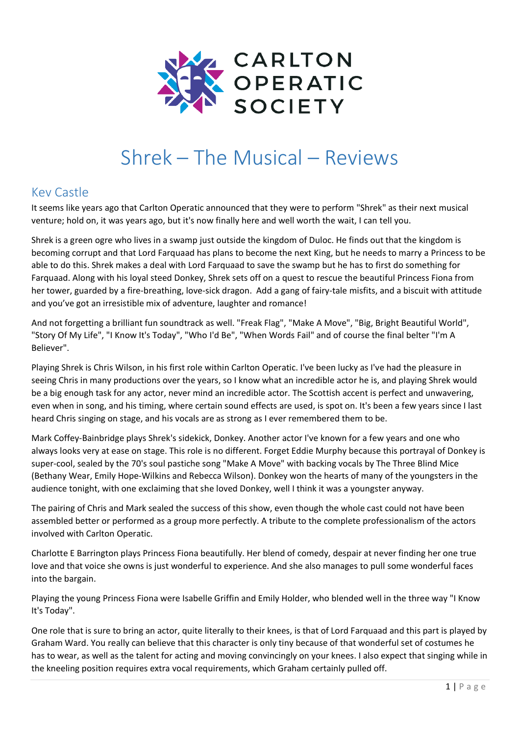

# Shrek – The Musical – Reviews

# Kev Castle

It seems like years ago that Carlton Operatic announced that they were to perform "Shrek" as their next musical venture; hold on, it was years ago, but it's now finally here and well worth the wait, I can tell you.

Shrek is a green ogre who lives in a swamp just outside the kingdom of Duloc. He finds out that the kingdom is becoming corrupt and that Lord Farquaad has plans to become the next King, but he needs to marry a Princess to be able to do this. Shrek makes a deal with Lord Farquaad to save the swamp but he has to first do something for Farquaad. Along with his loyal steed Donkey, Shrek sets off on a quest to rescue the beautiful Princess Fiona from her tower, guarded by a fire-breathing, love-sick dragon. Add a gang of fairy-tale misfits, and a biscuit with attitude and you've got an irresistible mix of adventure, laughter and romance!

And not forgetting a brilliant fun soundtrack as well. "Freak Flag", "Make A Move", "Big, Bright Beautiful World", "Story Of My Life", "I Know It's Today", "Who I'd Be", "When Words Fail" and of course the final belter "I'm A Believer".

Playing Shrek is Chris Wilson, in his first role within Carlton Operatic. I've been lucky as I've had the pleasure in seeing Chris in many productions over the years, so I know what an incredible actor he is, and playing Shrek would be a big enough task for any actor, never mind an incredible actor. The Scottish accent is perfect and unwavering, even when in song, and his timing, where certain sound effects are used, is spot on. It's been a few years since I last heard Chris singing on stage, and his vocals are as strong as I ever remembered them to be.

Mark Coffey-Bainbridge plays Shrek's sidekick, Donkey. Another actor I've known for a few years and one who always looks very at ease on stage. This role is no different. Forget Eddie Murphy because this portrayal of Donkey is super-cool, sealed by the 70's soul pastiche song "Make A Move" with backing vocals by The Three Blind Mice (Bethany Wear, Emily Hope-Wilkins and Rebecca Wilson). Donkey won the hearts of many of the youngsters in the audience tonight, with one exclaiming that she loved Donkey, well I think it was a youngster anyway.

The pairing of Chris and Mark sealed the success of this show, even though the whole cast could not have been assembled better or performed as a group more perfectly. A tribute to the complete professionalism of the actors involved with Carlton Operatic.

Charlotte E Barrington plays Princess Fiona beautifully. Her blend of comedy, despair at never finding her one true love and that voice she owns is just wonderful to experience. And she also manages to pull some wonderful faces into the bargain.

Playing the young Princess Fiona were Isabelle Griffin and Emily Holder, who blended well in the three way "I Know It's Today".

One role that is sure to bring an actor, quite literally to their knees, is that of Lord Farquaad and this part is played by Graham Ward. You really can believe that this character is only tiny because of that wonderful set of costumes he has to wear, as well as the talent for acting and moving convincingly on your knees. I also expect that singing while in the kneeling position requires extra vocal requirements, which Graham certainly pulled off.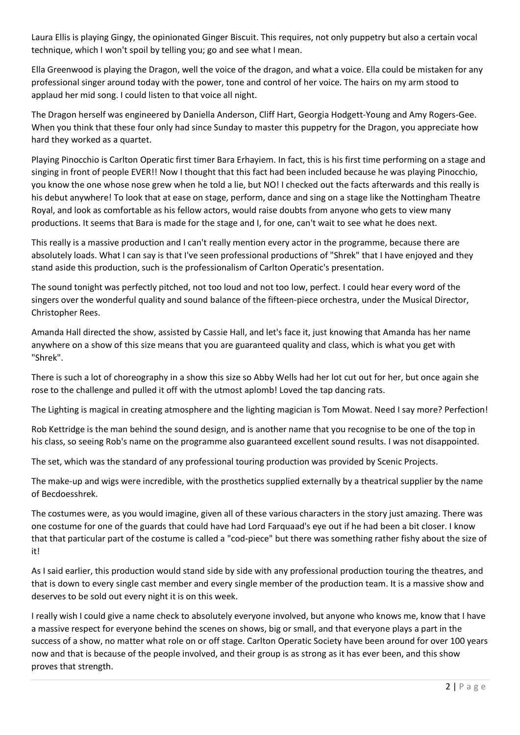Laura Ellis is playing Gingy, the opinionated Ginger Biscuit. This requires, not only puppetry but also a certain vocal technique, which I won't spoil by telling you; go and see what I mean.

Ella Greenwood is playing the Dragon, well the voice of the dragon, and what a voice. Ella could be mistaken for any professional singer around today with the power, tone and control of her voice. The hairs on my arm stood to applaud her mid song. I could listen to that voice all night.

The Dragon herself was engineered by Daniella Anderson, Cliff Hart, Georgia Hodgett-Young and Amy Rogers-Gee. When you think that these four only had since Sunday to master this puppetry for the Dragon, you appreciate how hard they worked as a quartet.

Playing Pinocchio is Carlton Operatic first timer Bara Erhayiem. In fact, this is his first time performing on a stage and singing in front of people EVER!! Now I thought that this fact had been included because he was playing Pinocchio, you know the one whose nose grew when he told a lie, but NO! I checked out the facts afterwards and this really is his debut anywhere! To look that at ease on stage, perform, dance and sing on a stage like the Nottingham Theatre Royal, and look as comfortable as his fellow actors, would raise doubts from anyone who gets to view many productions. It seems that Bara is made for the stage and I, for one, can't wait to see what he does next.

This really is a massive production and I can't really mention every actor in the programme, because there are absolutely loads. What I can say is that I've seen professional productions of "Shrek" that I have enjoyed and they stand aside this production, such is the professionalism of Carlton Operatic's presentation.

The sound tonight was perfectly pitched, not too loud and not too low, perfect. I could hear every word of the singers over the wonderful quality and sound balance of the fifteen-piece orchestra, under the Musical Director, Christopher Rees.

Amanda Hall directed the show, assisted by Cassie Hall, and let's face it, just knowing that Amanda has her name anywhere on a show of this size means that you are guaranteed quality and class, which is what you get with "Shrek".

There is such a lot of choreography in a show this size so Abby Wells had her lot cut out for her, but once again she rose to the challenge and pulled it off with the utmost aplomb! Loved the tap dancing rats.

The Lighting is magical in creating atmosphere and the lighting magician is Tom Mowat. Need I say more? Perfection!

Rob Kettridge is the man behind the sound design, and is another name that you recognise to be one of the top in his class, so seeing Rob's name on the programme also guaranteed excellent sound results. I was not disappointed.

The set, which was the standard of any professional touring production was provided by Scenic Projects.

The make-up and wigs were incredible, with the prosthetics supplied externally by a theatrical supplier by the name of Becdoesshrek.

The costumes were, as you would imagine, given all of these various characters in the story just amazing. There was one costume for one of the guards that could have had Lord Farquaad's eye out if he had been a bit closer. I know that that particular part of the costume is called a "cod-piece" but there was something rather fishy about the size of it!

As I said earlier, this production would stand side by side with any professional production touring the theatres, and that is down to every single cast member and every single member of the production team. It is a massive show and deserves to be sold out every night it is on this week.

I really wish I could give a name check to absolutely everyone involved, but anyone who knows me, know that I have a massive respect for everyone behind the scenes on shows, big or small, and that everyone plays a part in the success of a show, no matter what role on or off stage. Carlton Operatic Society have been around for over 100 years now and that is because of the people involved, and their group is as strong as it has ever been, and this show proves that strength.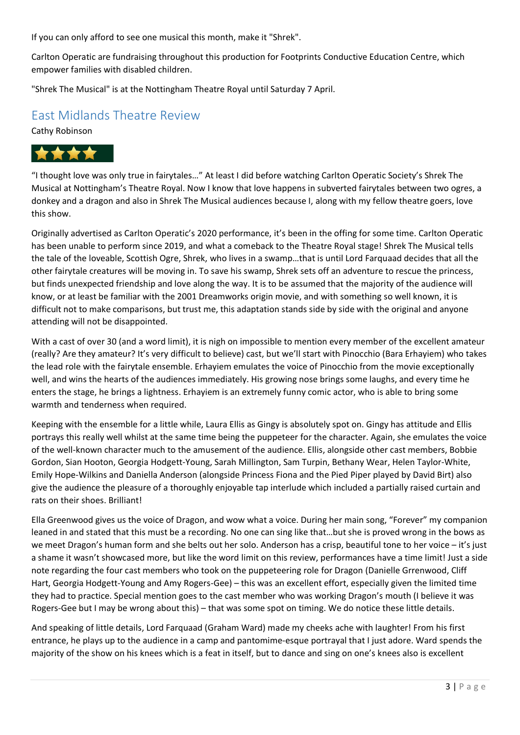If you can only afford to see one musical this month, make it "Shrek".

Carlton Operatic are fundraising throughout this production for Footprints Conductive Education Centre, which empower families with disabled children.

"Shrek The Musical" is at the Nottingham Theatre Royal until Saturday 7 April.

## East Midlands Theatre Review

Cathy Robinson



"I thought love was only true in fairytales…" At least I did before watching Carlton Operatic Society's Shrek The Musical at Nottingham's Theatre Royal. Now I know that love happens in subverted fairytales between two ogres, a donkey and a dragon and also in Shrek The Musical audiences because I, along with my fellow theatre goers, love this show.

Originally advertised as Carlton Operatic's 2020 performance, it's been in the offing for some time. Carlton Operatic has been unable to perform since 2019, and what a comeback to the Theatre Royal stage! Shrek The Musical tells the tale of the loveable, Scottish Ogre, Shrek, who lives in a swamp…that is until Lord Farquaad decides that all the other fairytale creatures will be moving in. To save his swamp, Shrek sets off an adventure to rescue the princess, but finds unexpected friendship and love along the way. It is to be assumed that the majority of the audience will know, or at least be familiar with the 2001 Dreamworks origin movie, and with something so well known, it is difficult not to make comparisons, but trust me, this adaptation stands side by side with the original and anyone attending will not be disappointed.

With a cast of over 30 (and a word limit), it is nigh on impossible to mention every member of the excellent amateur (really? Are they amateur? It's very difficult to believe) cast, but we'll start with Pinocchio (Bara Erhayiem) who takes the lead role with the fairytale ensemble. Erhayiem emulates the voice of Pinocchio from the movie exceptionally well, and wins the hearts of the audiences immediately. His growing nose brings some laughs, and every time he enters the stage, he brings a lightness. Erhayiem is an extremely funny comic actor, who is able to bring some warmth and tenderness when required.

Keeping with the ensemble for a little while, Laura Ellis as Gingy is absolutely spot on. Gingy has attitude and Ellis portrays this really well whilst at the same time being the puppeteer for the character. Again, she emulates the voice of the well-known character much to the amusement of the audience. Ellis, alongside other cast members, Bobbie Gordon, Sian Hooton, Georgia Hodgett-Young, Sarah Millington, Sam Turpin, Bethany Wear, Helen Taylor-White, Emily Hope-Wilkins and Daniella Anderson (alongside Princess Fiona and the Pied Piper played by David Birt) also give the audience the pleasure of a thoroughly enjoyable tap interlude which included a partially raised curtain and rats on their shoes. Brilliant!

Ella Greenwood gives us the voice of Dragon, and wow what a voice. During her main song, "Forever" my companion leaned in and stated that this must be a recording. No one can sing like that…but she is proved wrong in the bows as we meet Dragon's human form and she belts out her solo. Anderson has a crisp, beautiful tone to her voice – it's just a shame it wasn't showcased more, but like the word limit on this review, performances have a time limit! Just a side note regarding the four cast members who took on the puppeteering role for Dragon (Danielle Grrenwood, Cliff Hart, Georgia Hodgett-Young and Amy Rogers-Gee) – this was an excellent effort, especially given the limited time they had to practice. Special mention goes to the cast member who was working Dragon's mouth (I believe it was Rogers-Gee but I may be wrong about this) – that was some spot on timing. We do notice these little details.

And speaking of little details, Lord Farquaad (Graham Ward) made my cheeks ache with laughter! From his first entrance, he plays up to the audience in a camp and pantomime-esque portrayal that I just adore. Ward spends the majority of the show on his knees which is a feat in itself, but to dance and sing on one's knees also is excellent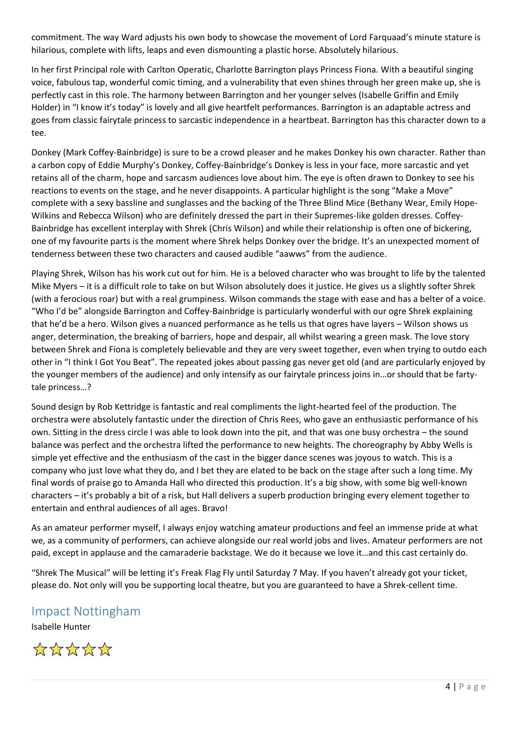commitment. The way Ward adjusts his own body to showcase the movement of Lord Farquaad's minute stature is hilarious, complete with lifts, leaps and even dismounting a plastic horse. Absolutely hilarious.

In her first Principal role with Carlton Operatic, Charlotte Barrington plays Princess Fiona. With a beautiful singing voice, fabulous tap, wonderful comic timing, and a vulnerability that even shines through her green make up, she is perfectly cast in this role. The harmony between Barrington and her younger selves (Isabelle Griffin and Emily Holder) in "I know it's today" is lovely and all give heartfelt performances. Barrington is an adaptable actress and goes from classic fairytale princess to sarcastic independence in a heartbeat. Barrington has this character down to a tee.

Donkey (Mark Coffey-Bainbridge) is sure to be a crowd pleaser and he makes Donkey his own character. Rather than a carbon copy of Eddie Murphy's Donkey, Coffey-Bainbridge's Donkey is less in your face, more sarcastic and yet retains all of the charm, hope and sarcasm audiences love about him. The eye is often drawn to Donkey to see his reactions to events on the stage, and he never disappoints. A particular highlight is the song "Make a Move" complete with a sexy bassline and sunglasses and the backing of the Three Blind Mice (Bethany Wear, Emily Hope-Wilkins and Rebecca Wilson) who are definitely dressed the part in their Supremes-like golden dresses. Coffey-Bainbridge has excellent interplay with Shrek (Chris Wilson) and while their relationship is often one of bickering, one of my favourite parts is the moment where Shrek helps Donkey over the bridge. It's an unexpected moment of tenderness between these two characters and caused audible "aawws" from the audience.

Playing Shrek, Wilson has his work cut out for him. He is a beloved character who was brought to life by the talented Mike Myers – it is a difficult role to take on but Wilson absolutely does it justice. He gives us a slightly softer Shrek (with a ferocious roar) but with a real grumpiness. Wilson commands the stage with ease and has a belter of a voice. "Who I'd be" alongside Barrington and Coffey-Bainbridge is particularly wonderful with our ogre Shrek explaining that he'd be a hero. Wilson gives a nuanced performance as he tells us that ogres have layers – Wilson shows us anger, determination, the breaking of barriers, hope and despair, all whilst wearing a green mask. The love story between Shrek and Fiona is completely believable and they are very sweet together, even when trying to outdo each other in "I think I Got You Beat". The repeated jokes about passing gas never get old (and are particularly enjoyed by the younger members of the audience) and only intensify as our fairytale princess joins in…or should that be fartytale princess…?

Sound design by Rob Kettridge is fantastic and real compliments the light-hearted feel of the production. The orchestra were absolutely fantastic under the direction of Chris Rees, who gave an enthusiastic performance of his own. Sitting in the dress circle I was able to look down into the pit, and that was one busy orchestra – the sound balance was perfect and the orchestra lifted the performance to new heights. The choreography by Abby Wells is simple yet effective and the enthusiasm of the cast in the bigger dance scenes was joyous to watch. This is a company who just love what they do, and I bet they are elated to be back on the stage after such a long time. My final words of praise go to Amanda Hall who directed this production. It's a big show, with some big well-known characters – it's probably a bit of a risk, but Hall delivers a superb production bringing every element together to entertain and enthral audiences of all ages. Bravo!

As an amateur performer myself, I always enjoy watching amateur productions and feel an immense pride at what we, as a community of performers, can achieve alongside our real world jobs and lives. Amateur performers are not paid, except in applause and the camaraderie backstage. We do it because we love it…and this cast certainly do.

"Shrek The Musical" will be letting it's Freak Flag Fly until Saturday 7 May. If you haven't already got your ticket, please do. Not only will you be supporting local theatre, but you are guaranteed to have a Shrek-cellent time.

## Impact Nottingham

Isabelle Hunter

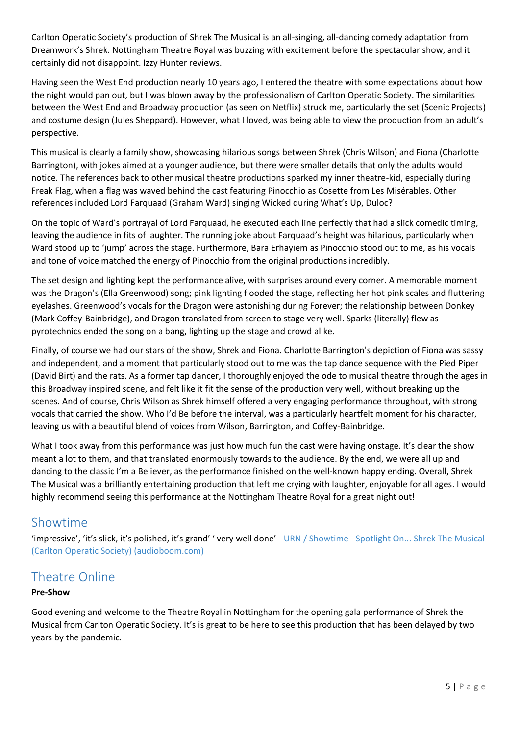Carlton Operatic Society's production of Shrek The Musical is an all-singing, all-dancing comedy adaptation from Dreamwork's Shrek. Nottingham Theatre Royal was buzzing with excitement before the spectacular show, and it certainly did not disappoint. Izzy Hunter reviews.

Having seen the West End production nearly 10 years ago, I entered the theatre with some expectations about how the night would pan out, but I was blown away by the professionalism of Carlton Operatic Society. The similarities between the West End and Broadway production (as seen on Netflix) struck me, particularly the set (Scenic Projects) and costume design (Jules Sheppard). However, what I loved, was being able to view the production from an adult's perspective.

This musical is clearly a family show, showcasing hilarious songs between Shrek (Chris Wilson) and Fiona (Charlotte Barrington), with jokes aimed at a younger audience, but there were smaller details that only the adults would notice. The references back to other musical theatre productions sparked my inner theatre-kid, especially during Freak Flag, when a flag was waved behind the cast featuring Pinocchio as Cosette from Les Misérables. Other references included Lord Farquaad (Graham Ward) singing Wicked during What's Up, Duloc?

On the topic of Ward's portrayal of Lord Farquaad, he executed each line perfectly that had a slick comedic timing, leaving the audience in fits of laughter. The running joke about Farquaad's height was hilarious, particularly when Ward stood up to 'jump' across the stage. Furthermore, Bara Erhayiem as Pinocchio stood out to me, as his vocals and tone of voice matched the energy of Pinocchio from the original productions incredibly.

The set design and lighting kept the performance alive, with surprises around every corner. A memorable moment was the Dragon's (Ella Greenwood) song; pink lighting flooded the stage, reflecting her hot pink scales and fluttering eyelashes. Greenwood's vocals for the Dragon were astonishing during Forever; the relationship between Donkey (Mark Coffey-Bainbridge), and Dragon translated from screen to stage very well. Sparks (literally) flew as pyrotechnics ended the song on a bang, lighting up the stage and crowd alike.

Finally, of course we had our stars of the show, Shrek and Fiona. Charlotte Barrington's depiction of Fiona was sassy and independent, and a moment that particularly stood out to me was the tap dance sequence with the Pied Piper (David Birt) and the rats. As a former tap dancer, I thoroughly enjoyed the ode to musical theatre through the ages in this Broadway inspired scene, and felt like it fit the sense of the production very well, without breaking up the scenes. And of course, Chris Wilson as Shrek himself offered a very engaging performance throughout, with strong vocals that carried the show. Who I'd Be before the interval, was a particularly heartfelt moment for his character, leaving us with a beautiful blend of voices from Wilson, Barrington, and Coffey-Bainbridge.

What I took away from this performance was just how much fun the cast were having onstage. It's clear the show meant a lot to them, and that translated enormously towards to the audience. By the end, we were all up and dancing to the classic I'm a Believer, as the performance finished on the well-known happy ending. Overall, Shrek The Musical was a brilliantly entertaining production that left me crying with laughter, enjoyable for all ages. I would highly recommend seeing this performance at the Nottingham Theatre Royal for a great night out!

## Showtime

'impressive', 'it's slick, it's polished, it's grand' ' very well done' - URN / Showtime - [Spotlight On... Shrek The Musical](https://audioboom.com/posts/8077625-showtime-spotlight-on-shrek-the-musical-carlton-operatic-society?fbclid=IwAR345eFXbnAYON3MizLshNf3PkVSy4cLAH1T2sAiReJSjzs3atBgoTxPAkw)  [\(Carlton Operatic Society\) \(audioboom.com\)](https://audioboom.com/posts/8077625-showtime-spotlight-on-shrek-the-musical-carlton-operatic-society?fbclid=IwAR345eFXbnAYON3MizLshNf3PkVSy4cLAH1T2sAiReJSjzs3atBgoTxPAkw)

# Theatre Online

## **Pre-Show**

Good evening and welcome to the Theatre Royal in Nottingham for the opening gala performance of Shrek the Musical from Carlton Operatic Society. It's is great to be here to see this production that has been delayed by two years by the pandemic.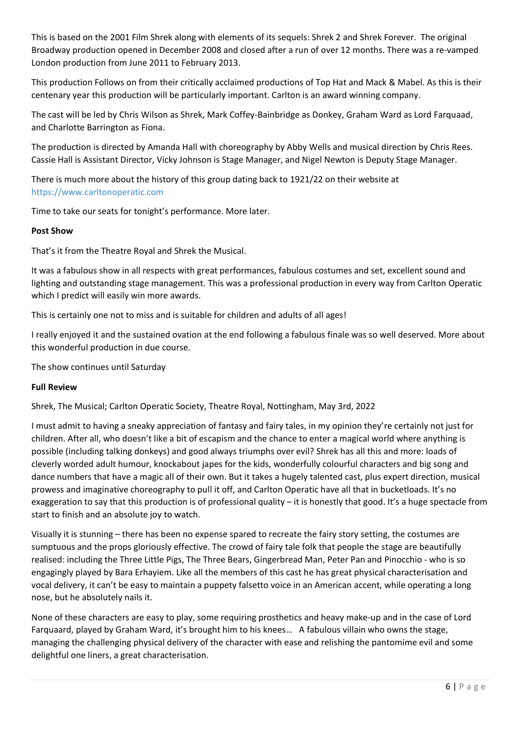This is based on the 2001 Film Shrek along with elements of its sequels: Shrek 2 and Shrek Forever. The original Broadway production opened in December 2008 and closed after a run of over 12 months. There was a re-vamped London production from June 2011 to February 2013.

This production Follows on from their critically acclaimed productions of Top Hat and Mack & Mabel. As this is their centenary year this production will be particularly important. Carlton is an award winning company.

The cast will be led by Chris Wilson as Shrek, Mark Coffey-Bainbridge as Donkey, Graham Ward as Lord Farquaad, and Charlotte Barrington as Fiona.

The production is directed by Amanda Hall with choreography by Abby Wells and musical direction by Chris Rees. Cassie Hall is Assistant Director, Vicky Johnson is Stage Manager, and Nigel Newton is Deputy Stage Manager.

There is much more about the history of this group dating back to 1921/22 on their website at [https://www.carltonoperatic.com](https://www.carltonoperatic.com/)

Time to take our seats for tonight's performance. More later.

### **Post Show**

That's it from the Theatre Royal and Shrek the Musical.

It was a fabulous show in all respects with great performances, fabulous costumes and set, excellent sound and lighting and outstanding stage management. This was a professional production in every way from Carlton Operatic which I predict will easily win more awards.

This is certainly one not to miss and is suitable for children and adults of all ages!

I really enjoyed it and the sustained ovation at the end following a fabulous finale was so well deserved. More about this wonderful production in due course.

The show continues until Saturday

#### **Full Review**

Shrek, The Musical; Carlton Operatic Society, Theatre Royal, Nottingham, May 3rd, 2022

I must admit to having a sneaky appreciation of fantasy and fairy tales, in my opinion they're certainly not just for children. After all, who doesn't like a bit of escapism and the chance to enter a magical world where anything is possible (including talking donkeys) and good always triumphs over evil? Shrek has all this and more: loads of cleverly worded adult humour, knockabout japes for the kids, wonderfully colourful characters and big song and dance numbers that have a magic all of their own. But it takes a hugely talented cast, plus expert direction, musical prowess and imaginative choreography to pull it off, and Carlton Operatic have all that in bucketloads. It's no exaggeration to say that this production is of professional quality – it is honestly that good. It's a huge spectacle from start to finish and an absolute joy to watch.

Visually it is stunning – there has been no expense spared to recreate the fairy story setting, the costumes are sumptuous and the props gloriously effective. The crowd of fairy tale folk that people the stage are beautifully realised: including the Three Little Pigs, The Three Bears, Gingerbread Man, Peter Pan and Pinocchio - who is so engagingly played by Bara Erhayiem. Like all the members of this cast he has great physical characterisation and vocal delivery, it can't be easy to maintain a puppety falsetto voice in an American accent, while operating a long nose, but he absolutely nails it.

None of these characters are easy to play, some requiring prosthetics and heavy make-up and in the case of Lord Farquaard, played by Graham Ward, it's brought him to his knees… A fabulous villain who owns the stage, managing the challenging physical delivery of the character with ease and relishing the pantomime evil and some delightful one liners, a great characterisation.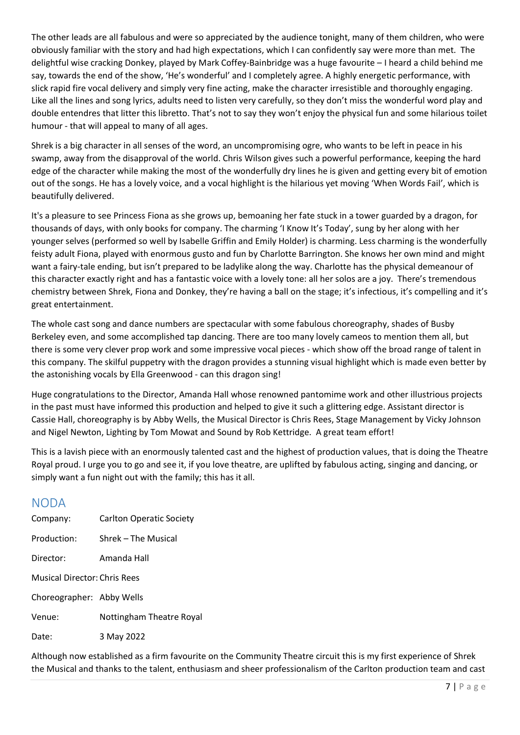The other leads are all fabulous and were so appreciated by the audience tonight, many of them children, who were obviously familiar with the story and had high expectations, which I can confidently say were more than met. The delightful wise cracking Donkey, played by Mark Coffey-Bainbridge was a huge favourite – I heard a child behind me say, towards the end of the show, 'He's wonderful' and I completely agree. A highly energetic performance, with slick rapid fire vocal delivery and simply very fine acting, make the character irresistible and thoroughly engaging. Like all the lines and song lyrics, adults need to listen very carefully, so they don't miss the wonderful word play and double entendres that litter this libretto. That's not to say they won't enjoy the physical fun and some hilarious toilet humour - that will appeal to many of all ages.

Shrek is a big character in all senses of the word, an uncompromising ogre, who wants to be left in peace in his swamp, away from the disapproval of the world. Chris Wilson gives such a powerful performance, keeping the hard edge of the character while making the most of the wonderfully dry lines he is given and getting every bit of emotion out of the songs. He has a lovely voice, and a vocal highlight is the hilarious yet moving 'When Words Fail', which is beautifully delivered.

It's a pleasure to see Princess Fiona as she grows up, bemoaning her fate stuck in a tower guarded by a dragon, for thousands of days, with only books for company. The charming 'I Know It's Today', sung by her along with her younger selves (performed so well by Isabelle Griffin and Emily Holder) is charming. Less charming is the wonderfully feisty adult Fiona, played with enormous gusto and fun by Charlotte Barrington. She knows her own mind and might want a fairy-tale ending, but isn't prepared to be ladylike along the way. Charlotte has the physical demeanour of this character exactly right and has a fantastic voice with a lovely tone: all her solos are a joy. There's tremendous chemistry between Shrek, Fiona and Donkey, they're having a ball on the stage; it's infectious, it's compelling and it's great entertainment.

The whole cast song and dance numbers are spectacular with some fabulous choreography, shades of Busby Berkeley even, and some accomplished tap dancing. There are too many lovely cameos to mention them all, but there is some very clever prop work and some impressive vocal pieces - which show off the broad range of talent in this company. The skilful puppetry with the dragon provides a stunning visual highlight which is made even better by the astonishing vocals by Ella Greenwood - can this dragon sing!

Huge congratulations to the Director, Amanda Hall whose renowned pantomime work and other illustrious projects in the past must have informed this production and helped to give it such a glittering edge. Assistant director is Cassie Hall, choreography is by Abby Wells, the Musical Director is Chris Rees, Stage Management by Vicky Johnson and Nigel Newton, Lighting by Tom Mowat and Sound by Rob Kettridge. A great team effort!

This is a lavish piece with an enormously talented cast and the highest of production values, that is doing the Theatre Royal proud. I urge you to go and see it, if you love theatre, are uplifted by fabulous acting, singing and dancing, or simply want a fun night out with the family; this has it all.

## NODA

| Company:                            | <b>Carlton Operatic Society</b> |
|-------------------------------------|---------------------------------|
| Production:                         | Shrek – The Musical             |
| Director:                           | Amanda Hall                     |
| <b>Musical Director: Chris Rees</b> |                                 |
| Choreographer: Abby Wells           |                                 |
| Venue:                              | Nottingham Theatre Royal        |
| Date:                               | 3 May 2022                      |
|                                     |                                 |

Although now established as a firm favourite on the Community Theatre circuit this is my first experience of Shrek the Musical and thanks to the talent, enthusiasm and sheer professionalism of the Carlton production team and cast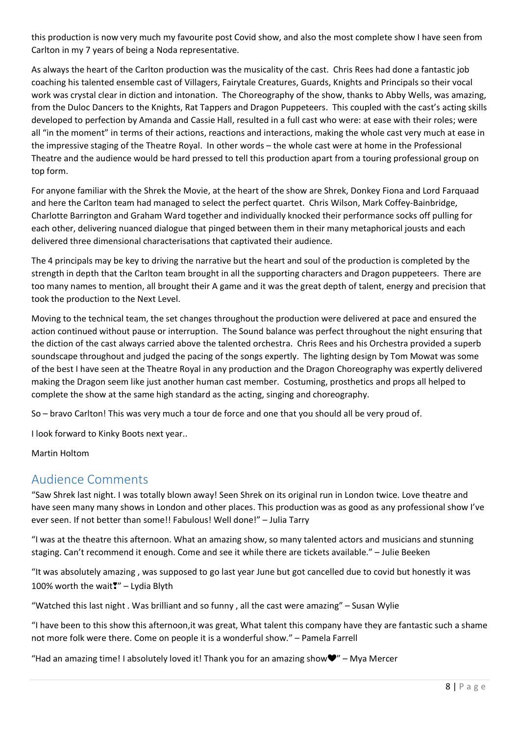this production is now very much my favourite post Covid show, and also the most complete show I have seen from Carlton in my 7 years of being a Noda representative.

As always the heart of the Carlton production was the musicality of the cast. Chris Rees had done a fantastic job coaching his talented ensemble cast of Villagers, Fairytale Creatures, Guards, Knights and Principals so their vocal work was crystal clear in diction and intonation. The Choreography of the show, thanks to Abby Wells, was amazing, from the Duloc Dancers to the Knights, Rat Tappers and Dragon Puppeteers. This coupled with the cast's acting skills developed to perfection by Amanda and Cassie Hall, resulted in a full cast who were: at ease with their roles; were all "in the moment" in terms of their actions, reactions and interactions, making the whole cast very much at ease in the impressive staging of the Theatre Royal. In other words – the whole cast were at home in the Professional Theatre and the audience would be hard pressed to tell this production apart from a touring professional group on top form.

For anyone familiar with the Shrek the Movie, at the heart of the show are Shrek, Donkey Fiona and Lord Farquaad and here the Carlton team had managed to select the perfect quartet. Chris Wilson, Mark Coffey-Bainbridge, Charlotte Barrington and Graham Ward together and individually knocked their performance socks off pulling for each other, delivering nuanced dialogue that pinged between them in their many metaphorical jousts and each delivered three dimensional characterisations that captivated their audience.

The 4 principals may be key to driving the narrative but the heart and soul of the production is completed by the strength in depth that the Carlton team brought in all the supporting characters and Dragon puppeteers. There are too many names to mention, all brought their A game and it was the great depth of talent, energy and precision that took the production to the Next Level.

Moving to the technical team, the set changes throughout the production were delivered at pace and ensured the action continued without pause or interruption. The Sound balance was perfect throughout the night ensuring that the diction of the cast always carried above the talented orchestra. Chris Rees and his Orchestra provided a superb soundscape throughout and judged the pacing of the songs expertly. The lighting design by Tom Mowat was some of the best I have seen at the Theatre Royal in any production and the Dragon Choreography was expertly delivered making the Dragon seem like just another human cast member. Costuming, prosthetics and props all helped to complete the show at the same high standard as the acting, singing and choreography.

So – bravo Carlton! This was very much a tour de force and one that you should all be very proud of.

I look forward to Kinky Boots next year..

Martin Holtom

## Audience Comments

"Saw Shrek last night. I was totally blown away! Seen Shrek on its original run in London twice. Love theatre and have seen many many shows in London and other places. This production was as good as any professional show I've ever seen. If not better than some!! Fabulous! Well done!" – Julia Tarry

"I was at the theatre this afternoon. What an amazing show, so many talented actors and musicians and stunning staging. Can't recommend it enough. Come and see it while there are tickets available." – Julie Beeken

"It was absolutely amazing , was supposed to go last year June but got cancelled due to covid but honestly it was 100% worth the wait❣" – Lydia Blyth

"Watched this last night . Was brilliant and so funny , all the cast were amazing" – Susan Wylie

"I have been to this show this afternoon,it was great, What talent this company have they are fantastic such a shame not more folk were there. Come on people it is a wonderful show." – Pamela Farrell

"Had an amazing time! I absolutely loved it! Thank you for an amazing show $\Psi$ " – Mya Mercer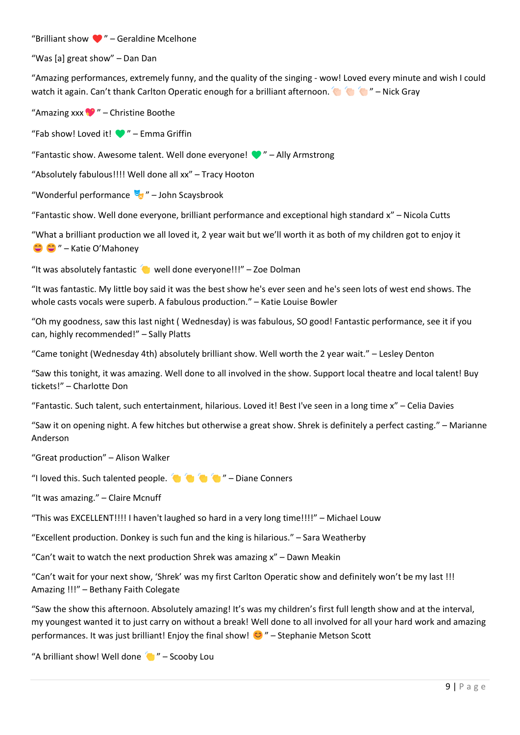### "Brilliant show  $\Psi$ " – Geraldine Mcelhone

"Was [a] great show" – Dan Dan

"Amazing performances, extremely funny, and the quality of the singing - wow! Loved every minute and wish I could watch it again. Can't thank Carlton Operatic enough for a brilliant afternoon.���������������" – Nick Gray

"Amazing xxx $\bullet$ " – Christine Boothe

"Fab show! Loved it!  $\bullet$ " – Emma Griffin

"Fantastic show. Awesome talent. Well done everyone!  $\blacktriangledown$ " – Ally Armstrong

"Absolutely fabulous!!!! Well done all xx" – Tracy Hooton

"Wonderful performance  $\frac{1}{2}$ " – John Scaysbrook

"Fantastic show. Well done everyone, brilliant performance and exceptional high standard x" – Nicola Cutts

"What a brilliant production we all loved it, 2 year wait but we'll worth it as both of my children got to enjoy it ��������" – Katie O'Mahoney

"It was absolutely fantastic  $\bullet$  well done everyone!!!" – Zoe Dolman

"It was fantastic. My little boy said it was the best show he's ever seen and he's seen lots of west end shows. The whole casts vocals were superb. A fabulous production." – Katie Louise Bowler

"Oh my goodness, saw this last night ( Wednesday) is was fabulous, SO good! Fantastic performance, see it if you can, highly recommended!" – Sally Platts

"Came tonight (Wednesday 4th) absolutely brilliant show. Well worth the 2 year wait." – Lesley Denton

"Saw this tonight, it was amazing. Well done to all involved in the show. Support local theatre and local talent! Buy tickets!" – Charlotte Don

"Fantastic. Such talent, such entertainment, hilarious. Loved it! Best I've seen in a long time x" – Celia Davies

"Saw it on opening night. A few hitches but otherwise a great show. Shrek is definitely a perfect casting." – Marianne Anderson

"Great production" – Alison Walker

"I loved this. Such talented people.  $\bullet\bullet\bullet\bullet\bullet\bullet\bullet\bullet$ " – Diane Conners

"It was amazing." – Claire Mcnuff

"This was EXCELLENT!!!! I haven't laughed so hard in a very long time!!!!" – Michael Louw

"Excellent production. Donkey is such fun and the king is hilarious." – Sara Weatherby

"Can't wait to watch the next production Shrek was amazing x" – Dawn Meakin

"Can't wait for your next show, 'Shrek' was my first Carlton Operatic show and definitely won't be my last !!! Amazing !!!" – Bethany Faith Colegate

"Saw the show this afternoon. Absolutely amazing! It's was my children's first full length show and at the interval, my youngest wanted it to just carry on without a break! Well done to all involved for all your hard work and amazing performances. It was just brilliant! Enjoy the final show!  $\bigcirc$  " – Stephanie Metson Scott

"A brilliant show! Well done  $\bullet$ " – Scooby Lou